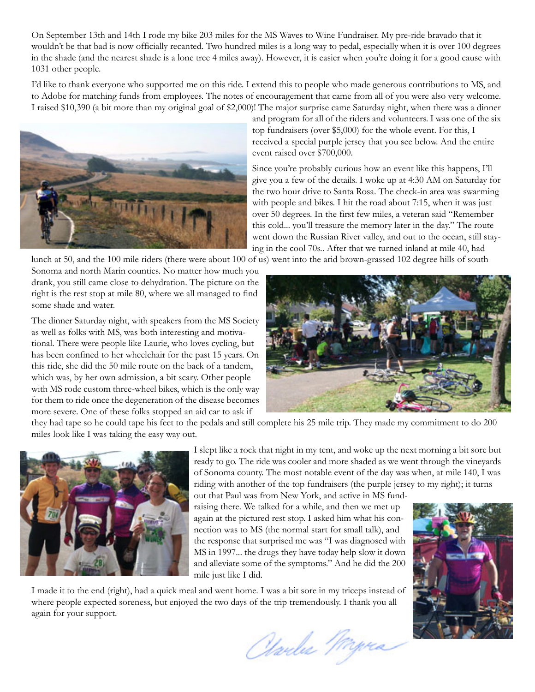On September 13th and 14th I rode my bike 203 miles for the MS Waves to Wine Fundraiser. My pre-ride bravado that it wouldn't be that bad is now officially recanted. Two hundred miles is a long way to pedal, especially when it is over 100 degrees in the shade (and the nearest shade is a lone tree 4 miles away). However, it is easier when you're doing it for a good cause with 1031 other people.

I'd like to thank everyone who supported me on this ride. I extend this to people who made generous contributions to MS, and to Adobe for matching funds from employees. The notes of encouragement that came from all of you were also very welcome. I raised \$10,390 (a bit more than my original goal of \$2,000)! The major surprise came Saturday night, when there was a dinner



and program for all of the riders and volunteers. I was one of the six top fundraisers (over \$5,000) for the whole event. For this, I received a special purple jersey that you see below. And the entire event raised over \$700,000.

Since you're probably curious how an event like this happens, I'll give you a few of the details. I woke up at 4:30 AM on Saturday for the two hour drive to Santa Rosa. The check-in area was swarming with people and bikes. I hit the road about 7:15, when it was just over 50 degrees. In the first few miles, a veteran said "Remember this cold... you'll treasure the memory later in the day." The route went down the Russian River valley, and out to the ocean, still staying in the cool 70s.. After that we turned inland at mile 40, had

lunch at 50, and the 100 mile riders (there were about 100 of us) went into the arid brown-grassed 102 degree hills of south

Sonoma and north Marin counties. No matter how much you drank, you still came close to dehydration. The picture on the right is the rest stop at mile 80, where we all managed to find some shade and water.

The dinner Saturday night, with speakers from the MS Society as well as folks with MS, was both interesting and motivational. There were people like Laurie, who loves cycling, but has been confined to her wheelchair for the past 15 years. On this ride, she did the 50 mile route on the back of a tandem, which was, by her own admission, a bit scary. Other people with MS rode custom three-wheel bikes, which is the only way for them to ride once the degeneration of the disease becomes more severe. One of these folks stopped an aid car to ask if



they had tape so he could tape his feet to the pedals and still complete his 25 mile trip. They made my commitment to do 200 miles look like I was taking the easy way out.



I slept like a rock that night in my tent, and woke up the next morning a bit sore but ready to go. The ride was cooler and more shaded as we went through the vineyards of Sonoma county. The most notable event of the day was when, at mile 140, I was riding with another of the top fundraisers (the purple jersey to my right); it turns out that Paul was from New York, and active in MS fund-

raising there. We talked for a while, and then we met up again at the pictured rest stop. I asked him what his connection was to MS (the normal start for small talk), and the response that surprised me was "I was diagnosed with MS in 1997... the drugs they have today help slow it down and alleviate some of the symptoms." And he did the 200 mile just like I did.

I made it to the end (right), had a quick meal and went home. I was a bit sore in my triceps instead of where people expected soreness, but enjoyed the two days of the trip tremendously. I thank you all again for your support.

Obardes Przer